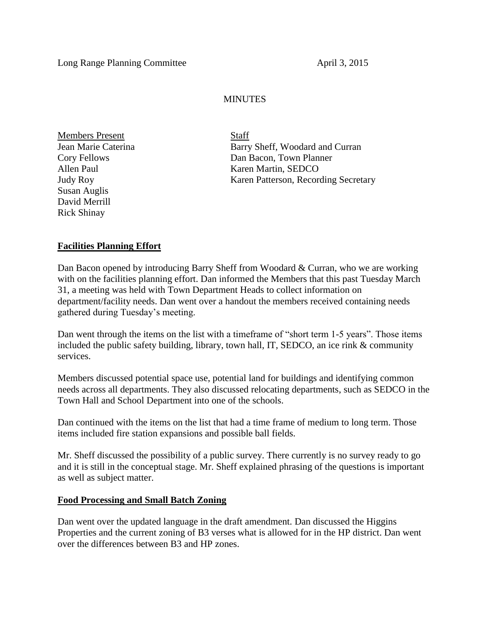## **MINUTES**

Members Present Staff Susan Auglis David Merrill Rick Shinay

Jean Marie Caterina Barry Sheff, Woodard and Curran Cory Fellows Dan Bacon, Town Planner Allen Paul Karen Martin, SEDCO Judy Roy Karen Patterson, Recording Secretary

## **Facilities Planning Effort**

Dan Bacon opened by introducing Barry Sheff from Woodard & Curran, who we are working with on the facilities planning effort. Dan informed the Members that this past Tuesday March 31, a meeting was held with Town Department Heads to collect information on department/facility needs. Dan went over a handout the members received containing needs gathered during Tuesday's meeting.

Dan went through the items on the list with a timeframe of "short term 1-5 years". Those items included the public safety building, library, town hall, IT, SEDCO, an ice rink & community services.

Members discussed potential space use, potential land for buildings and identifying common needs across all departments. They also discussed relocating departments, such as SEDCO in the Town Hall and School Department into one of the schools.

Dan continued with the items on the list that had a time frame of medium to long term. Those items included fire station expansions and possible ball fields.

Mr. Sheff discussed the possibility of a public survey. There currently is no survey ready to go and it is still in the conceptual stage. Mr. Sheff explained phrasing of the questions is important as well as subject matter.

## **Food Processing and Small Batch Zoning**

Dan went over the updated language in the draft amendment. Dan discussed the Higgins Properties and the current zoning of B3 verses what is allowed for in the HP district. Dan went over the differences between B3 and HP zones.